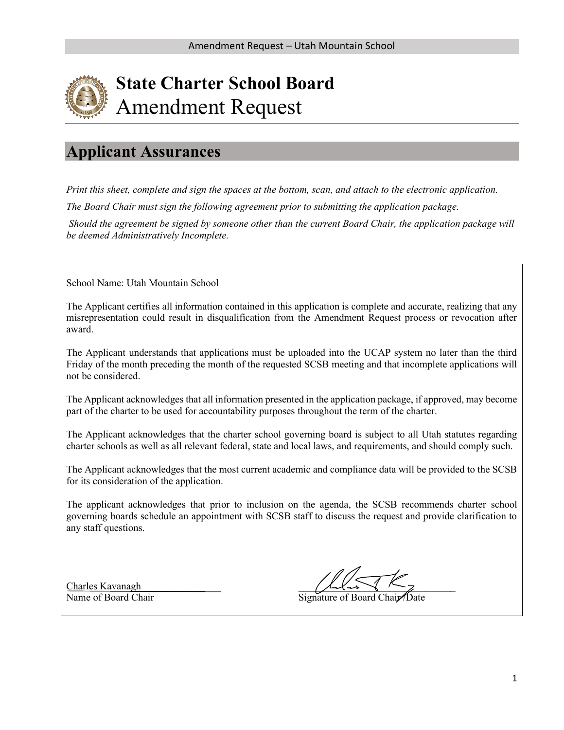

# **Applicant Assurances**

*Print this sheet, complete and sign the spaces at the bottom, scan, and attach to the electronic application.* 

*The Board Chair must sign the following agreement prior to submitting the application package.*

*Should the agreement be signed by someone other than the current Board Chair, the application package will be deemed Administratively Incomplete.*

School Name: Utah Mountain School

The Applicant certifies all information contained in this application is complete and accurate, realizing that any misrepresentation could result in disqualification from the Amendment Request process or revocation after award.

The Applicant understands that applications must be uploaded into the UCAP system no later than the third Friday of the month preceding the month of the requested SCSB meeting and that incomplete applications will not be considered.

The Applicant acknowledges that all information presented in the application package, if approved, may become part of the charter to be used for accountability purposes throughout the term of the charter.

The Applicant acknowledges that the charter school governing board is subject to all Utah statutes regarding charter schools as well as all relevant federal, state and local laws, and requirements, and should comply such.

The Applicant acknowledges that the most current academic and compliance data will be provided to the SCSB for its consideration of the application.

The applicant acknowledges that prior to inclusion on the agenda, the SCSB recommends charter school governing boards schedule an appointment with SCSB staff to discuss the request and provide clarification to any staff questions.

Charles Kavanagh

Name of Board Chair Signature of Board Chair *Signature* of Board Chair *Date*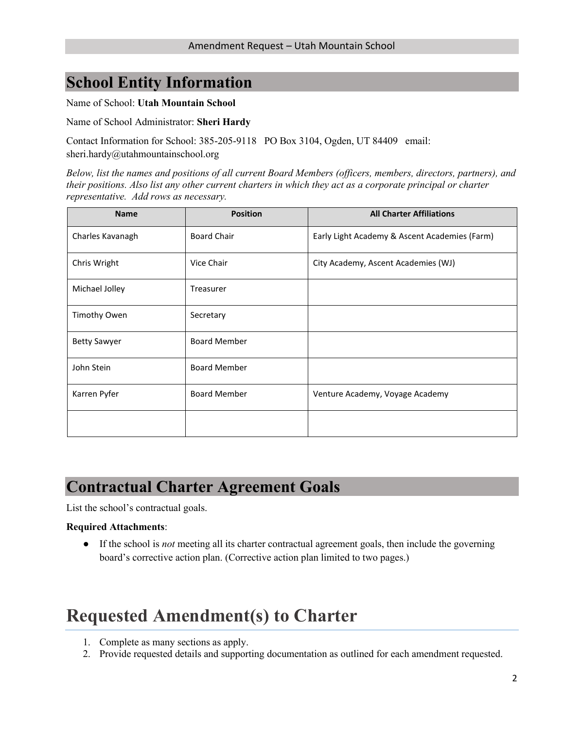# **School Entity Information**

Name of School: **Utah Mountain School**

Name of School Administrator: **Sheri Hardy**

Contact Information for School: 385-205-9118 PO Box 3104, Ogden, UT 84409 email: sheri.hardy@utahmountainschool.org

*Below, list the names and positions of all current Board Members (officers, members, directors, partners), and their positions. Also list any other current charters in which they act as a corporate principal or charter representative. Add rows as necessary.*

| <b>Name</b>         | <b>Position</b>     | <b>All Charter Affiliations</b>               |  |  |  |  |  |
|---------------------|---------------------|-----------------------------------------------|--|--|--|--|--|
| Charles Kavanagh    | <b>Board Chair</b>  | Early Light Academy & Ascent Academies (Farm) |  |  |  |  |  |
| Chris Wright        | Vice Chair          | City Academy, Ascent Academies (WJ)           |  |  |  |  |  |
| Michael Jolley      | Treasurer           |                                               |  |  |  |  |  |
| Timothy Owen        | Secretary           |                                               |  |  |  |  |  |
| <b>Betty Sawyer</b> | <b>Board Member</b> |                                               |  |  |  |  |  |
| John Stein          | <b>Board Member</b> |                                               |  |  |  |  |  |
| Karren Pyfer        | <b>Board Member</b> | Venture Academy, Voyage Academy               |  |  |  |  |  |
|                     |                     |                                               |  |  |  |  |  |

# **Contractual Charter Agreement Goals**

List the school's contractual goals.

#### **Required Attachments**:

● If the school is *not* meeting all its charter contractual agreement goals, then include the governing board's corrective action plan. (Corrective action plan limited to two pages.)

# **Requested Amendment(s) to Charter**

- 1. Complete as many sections as apply.
- 2. Provide requested details and supporting documentation as outlined for each amendment requested.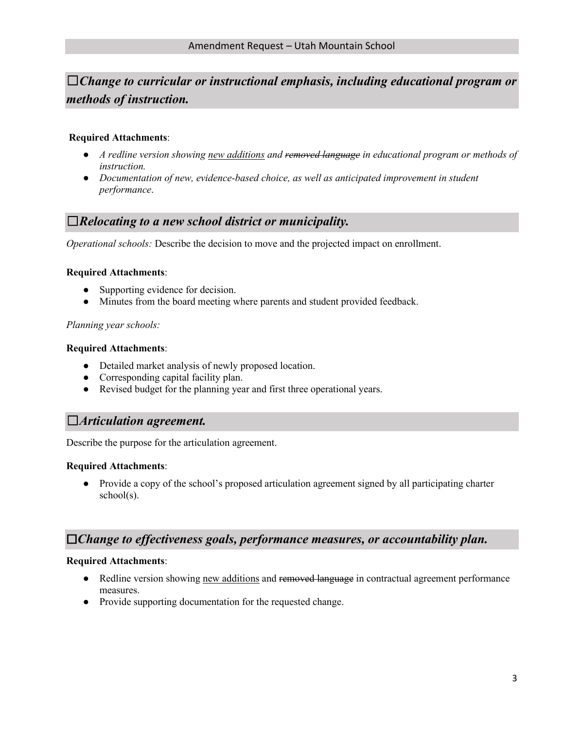# ☐*Change to curricular or instructional emphasis, including educational program or methods of instruction.*

### **Required Attachments**:

- *A redline version showing new additions and removed language in educational program or methods of instruction.*
- *Documentation of new, evidence-based choice, as well as anticipated improvement in student performance*.

### ☐*Relocating to a new school district or municipality.*

*Operational schools:* Describe the decision to move and the projected impact on enrollment.

#### **Required Attachments**:

- Supporting evidence for decision.
- Minutes from the board meeting where parents and student provided feedback.

### *Planning year schools:*

#### **Required Attachments**:

- Detailed market analysis of newly proposed location.
- Corresponding capital facility plan.
- Revised budget for the planning year and first three operational years.

### ☐*Articulation agreement.*

Describe the purpose for the articulation agreement.

#### **Required Attachments**:

• Provide a copy of the school's proposed articulation agreement signed by all participating charter school(s).

### ☐*Change to effectiveness goals, performance measures, or accountability plan.*

#### **Required Attachments**:

- Redline version showing new additions and removed language in contractual agreement performance measures.
- Provide supporting documentation for the requested change.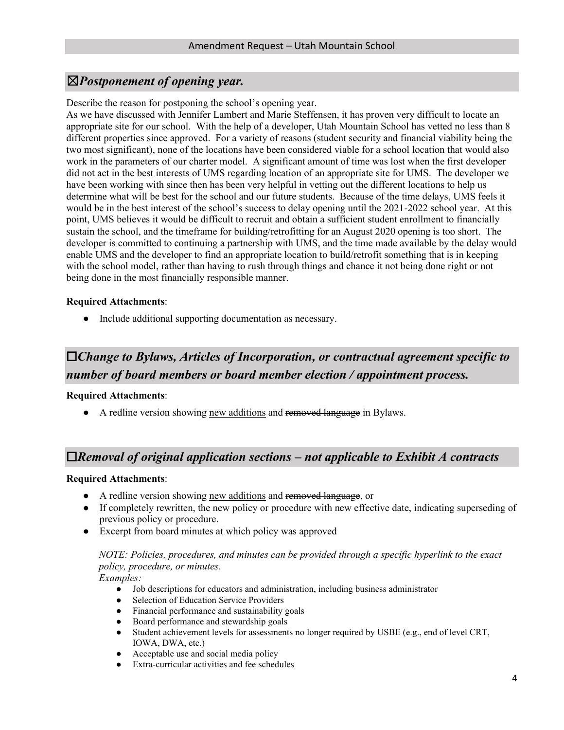### ☒*Postponement of opening year.*

Describe the reason for postponing the school's opening year.

As we have discussed with Jennifer Lambert and Marie Steffensen, it has proven very difficult to locate an appropriate site for our school. With the help of a developer, Utah Mountain School has vetted no less than 8 different properties since approved. For a variety of reasons (student security and financial viability being the two most significant), none of the locations have been considered viable for a school location that would also work in the parameters of our charter model. A significant amount of time was lost when the first developer did not act in the best interests of UMS regarding location of an appropriate site for UMS. The developer we have been working with since then has been very helpful in vetting out the different locations to help us determine what will be best for the school and our future students. Because of the time delays, UMS feels it would be in the best interest of the school's success to delay opening until the 2021-2022 school year. At this point, UMS believes it would be difficult to recruit and obtain a sufficient student enrollment to financially sustain the school, and the timeframe for building/retrofitting for an August 2020 opening is too short. The developer is committed to continuing a partnership with UMS, and the time made available by the delay would enable UMS and the developer to find an appropriate location to build/retrofit something that is in keeping with the school model, rather than having to rush through things and chance it not being done right or not being done in the most financially responsible manner.

### **Required Attachments**:

● Include additional supporting documentation as necessary.

# ☐*Change to Bylaws, Articles of Incorporation, or contractual agreement specific to number of board members or board member election / appointment process.*

### **Required Attachments**:

• A redline version showing new additions and removed language in Bylaws.

### ☐*Removal of original application sections – not applicable to Exhibit A contracts*

#### **Required Attachments**:

- A redline version showing new additions and removed language, or
- If completely rewritten, the new policy or procedure with new effective date, indicating superseding of previous policy or procedure.
- Excerpt from board minutes at which policy was approved

### *NOTE: Policies, procedures, and minutes can be provided through a specific hyperlink to the exact policy, procedure, or minutes.*

*Examples:* 

- Job descriptions for educators and administration, including business administrator
- Selection of Education Service Providers
- Financial performance and sustainability goals
- Board performance and stewardship goals
- Student achievement levels for assessments no longer required by USBE (e.g., end of level CRT, IOWA, DWA, etc.)
- Acceptable use and social media policy
- Extra-curricular activities and fee schedules